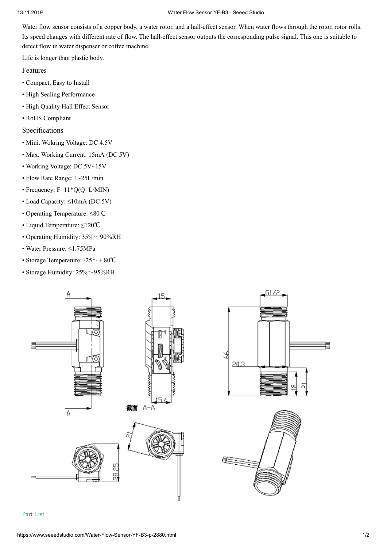#### 13.11.2019 Water Flow Sensor YF-B3 - Seeed Studo

Water flow sensor consists of a copper body, a water rotor, and a hall-effect sensor. When water flows through the rotor, rotor rolls. Its speed changes with different rate of flow. The hall-effect sensor outputs the corresponding pulse signal. This one is suitable to detect flow in water dispenser or coffee machine.

Life is longer than plastic body.

Features

- Compact, Easy to Install
- High Sealing Performance
- High Quality Hall Effect Sensor
- RoHS Compliant

Specifications

- Mini. Wokring Voltage: DC 4.5V
- Max. Working Current: 15mA (DC 5V)
- Working Voltage: DC 5V~15V
- Flow Rate Range: 1~25L/min
- Frequency: F=11\*Q(Q=L/MIN)
- Load Capacty: ≤10mA (DC 5V)
- Operating Temperature: ≤80℃
- Liquid Temperature: ≤120℃
- Operating Humidity:  $35\% \sim 90\%RH$
- Water Pressure: ≤1.75MPa
- Storage Temperature: -25~+ 80℃
- Storage Humidity:  $25\% \sim 95\% RH$